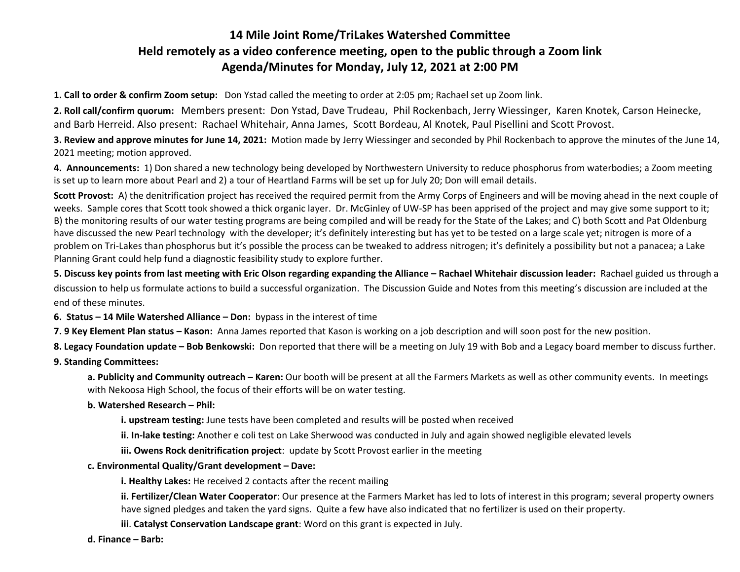### **14 Mile Joint Rome/TriLakes Watershed Committee Held remotely as a video conference meeting, open to the public through a Zoom link Agenda/Minutes for Monday, July 12, 2021 at 2:00 PM**

**1. Call to order & confirm Zoom setup:** Don Ystad called the meeting to order at 2:05 pm; Rachael set up Zoom link.

**2. Roll call/confirm quorum:** Members present: Don Ystad, Dave Trudeau, Phil Rockenbach, Jerry Wiessinger, Karen Knotek, Carson Heinecke, and Barb Herreid. Also present: Rachael Whitehair, Anna James, Scott Bordeau, Al Knotek, Paul Pisellini and Scott Provost.

**3. Review and approve minutes for June 14, 2021:** Motion made by Jerry Wiessinger and seconded by Phil Rockenbach to approve the minutes of the June 14, 2021 meeting; motion approved.

**4. Announcements:** 1) Don shared a new technology being developed by Northwestern University to reduce phosphorus from waterbodies; a Zoom meeting is set up to learn more about Pearl and 2) a tour of Heartland Farms will be set up for July 20; Don will email details.

**Scott Provost:** A) the denitrification project has received the required permit from the Army Corps of Engineers and will be moving ahead in the next couple of weeks. Sample cores that Scott took showed a thick organic layer. Dr. McGinley of UW-SP has been apprised of the project and may give some support to it; B) the monitoring results of our water testing programs are being compiled and will be ready for the State of the Lakes; and C) both Scott and Pat Oldenburg have discussed the new Pearl technology with the developer; it's definitely interesting but has yet to be tested on a large scale yet; nitrogen is more of a problem on Tri-Lakes than phosphorus but it's possible the process can be tweaked to address nitrogen; it's definitely a possibility but not a panacea; a Lake Planning Grant could help fund a diagnostic feasibility study to explore further.

**5. Discuss key points from last meeting with Eric Olson regarding expanding the Alliance – Rachael Whitehair discussion leader: Rachael guided us through a** discussion to help us formulate actions to build a successful organization. The Discussion Guide and Notes from this meeting's discussion are included at the end of these minutes.

**6. Status – 14 Mile Watershed Alliance – Don:** bypass in the interest of time

**7. 9 Key Element Plan status – Kason:** Anna James reported that Kason is working on a job description and will soon post for the new position.

**8. Legacy Foundation update – Bob Benkowski:** Don reported that there will be a meeting on July 19 with Bob and a Legacy board member to discuss further.

#### **9. Standing Committees:**

**a. Publicity and Community outreach – Karen:** Our booth will be present at all the Farmers Markets as well as other community events. In meetings with Nekoosa High School, the focus of their efforts will be on water testing.

#### **b. Watershed Research – Phil:**

**i. upstream testing:** June tests have been completed and results will be posted when received

**ii. In-lake testing:** Another e coli test on Lake Sherwood was conducted in July and again showed negligible elevated levels

**iii. Owens Rock denitrification project**: update by Scott Provost earlier in the meeting

#### **c. Environmental Quality/Grant development – Dave:**

**i. Healthy Lakes:** He received 2 contacts after the recent mailing

**ii. Fertilizer/Clean Water Cooperator**: Our presence at the Farmers Market has led to lots of interest in this program; several property owners have signed pledges and taken the yard signs. Quite a few have also indicated that no fertilizer is used on their property.

**iii**. **Catalyst Conservation Landscape grant**: Word on this grant is expected in July.

**d. Finance – Barb:**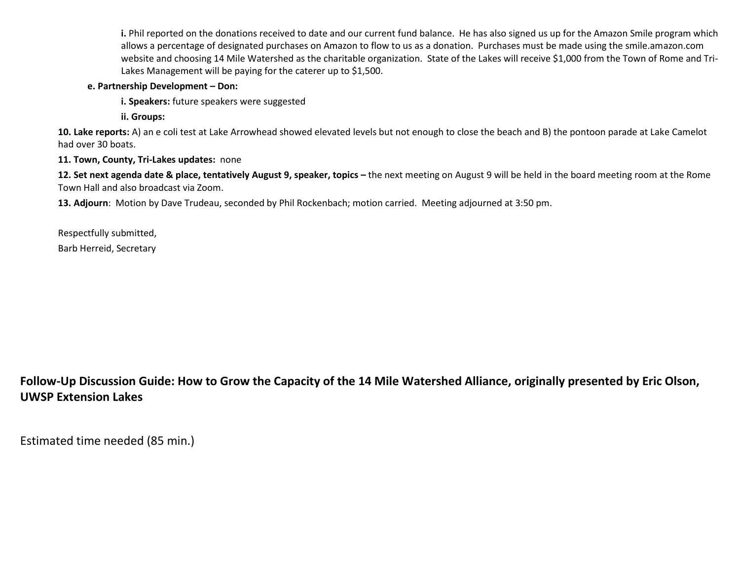**i.** Phil reported on the donations received to date and our current fund balance. He has also signed us up for the Amazon Smile program which allows a percentage of designated purchases on Amazon to flow to us as a donation. Purchases must be made using the smile.amazon.com website and choosing 14 Mile Watershed as the charitable organization. State of the Lakes will receive \$1,000 from the Town of Rome and Tri-Lakes Management will be paying for the caterer up to \$1,500.

**e. Partnership Development – Don:**

**i. Speakers:** future speakers were suggested

**ii. Groups:** 

**10. Lake reports:** A) an e coli test at Lake Arrowhead showed elevated levels but not enough to close the beach and B) the pontoon parade at Lake Camelot had over 30 boats.

**11. Town, County, Tri-Lakes updates:** none

**12. Set next agenda date & place, tentatively August 9, speaker, topics –** the next meeting on August 9 will be held in the board meeting room at the Rome Town Hall and also broadcast via Zoom.

**13. Adjourn**: Motion by Dave Trudeau, seconded by Phil Rockenbach; motion carried. Meeting adjourned at 3:50 pm.

Respectfully submitted, Barb Herreid, Secretary

**Follow-Up Discussion Guide: How to Grow the Capacity of the 14 Mile Watershed Alliance, originally presented by Eric Olson, UWSP Extension Lakes**

Estimated time needed (85 min.)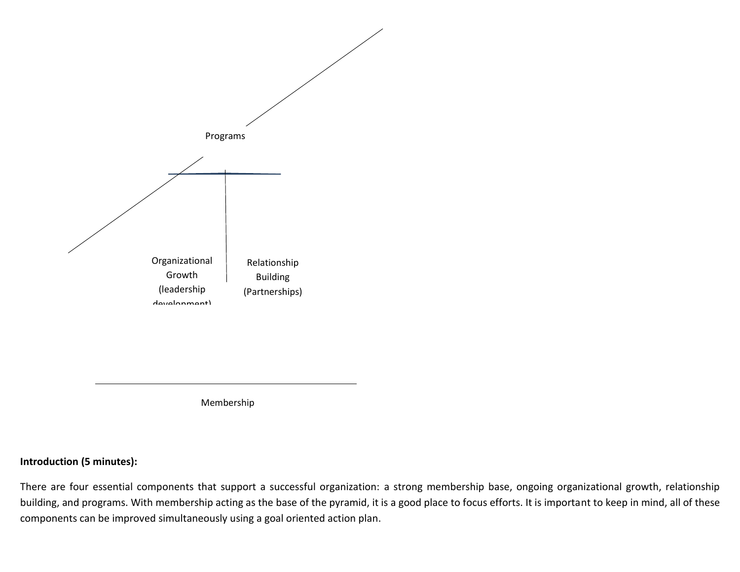

Membership

### **Introduction (5 minutes):**

There are four essential components that support a successful organization: a strong membership base, ongoing organizational growth, relationship building, and programs. With membership acting as the base of the pyramid, it is a good place to focus efforts. It is important to keep in mind, all of these components can be improved simultaneously using a goal oriented action plan.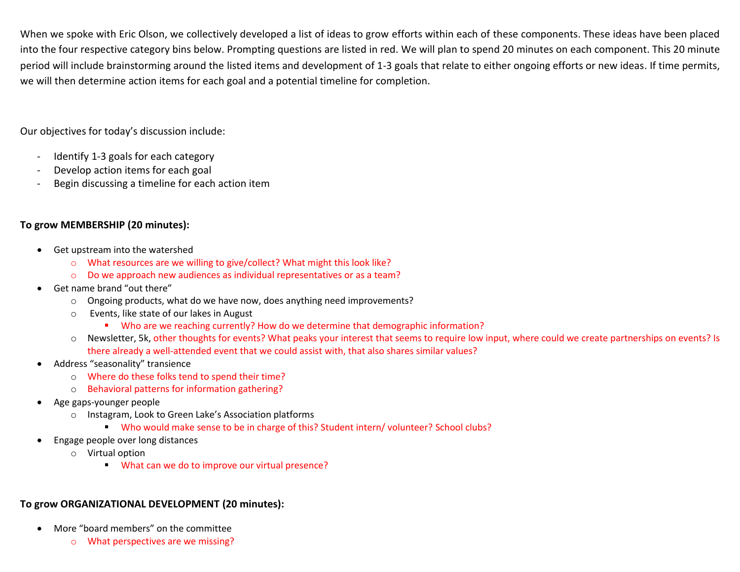When we spoke with Eric Olson, we collectively developed a list of ideas to grow efforts within each of these components. These ideas have been placed into the four respective category bins below. Prompting questions are listed in red. We will plan to spend 20 minutes on each component. This 20 minute period will include brainstorming around the listed items and development of 1-3 goals that relate to either ongoing efforts or new ideas. If time permits, we will then determine action items for each goal and a potential timeline for completion.

Our objectives for today's discussion include:

- Identify 1-3 goals for each category
- Develop action items for each goal
- Begin discussing a timeline for each action item

### **To grow MEMBERSHIP (20 minutes):**

- Get upstream into the watershed
	- o What resources are we willing to give/collect? What might this look like?
	- o Do we approach new audiences as individual representatives or as a team?
- Get name brand "out there"
	- o Ongoing products, what do we have now, does anything need improvements?
	- o Events, like state of our lakes in August
		- Who are we reaching currently? How do we determine that demographic information?
	- o Newsletter, 5k, other thoughts for events? What peaks your interest that seems to require low input, where could we create partnerships on events? Is there already a well-attended event that we could assist with, that also shares similar values?
- Address "seasonality" transience
	- o Where do these folks tend to spend their time?
	- o Behavioral patterns for information gathering?
- Age gaps-younger people
	- o Instagram, Look to Green Lake's Association platforms
		- Who would make sense to be in charge of this? Student intern/ volunteer? School clubs?
- Engage people over long distances
	- o Virtual option
		- What can we do to improve our virtual presence?

### **To grow ORGANIZATIONAL DEVELOPMENT (20 minutes):**

- More "board members" on the committee
	- o What perspectives are we missing?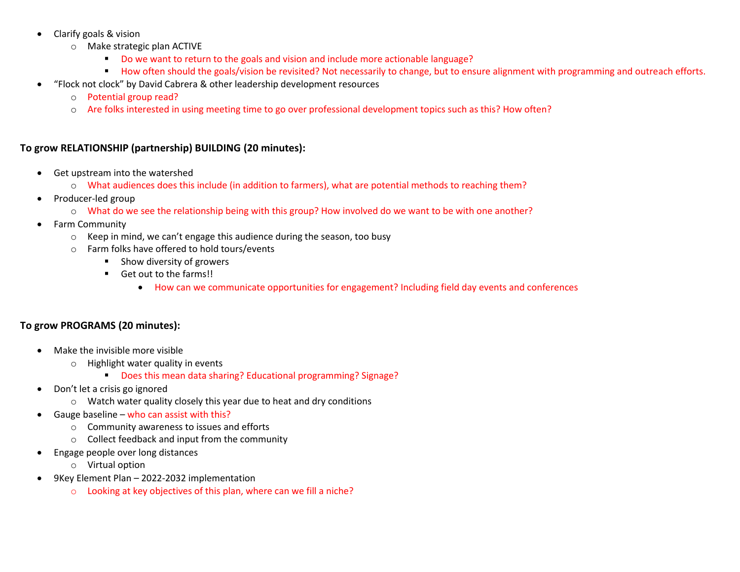- Clarify goals & vision
	- o Make strategic plan ACTIVE
		- Do we want to return to the goals and vision and include more actionable language?
		- How often should the goals/vision be revisited? Not necessarily to change, but to ensure alignment with programming and outreach efforts.
- "Flock not clock" by David Cabrera & other leadership development resources
	- o Potential group read?
	- o Are folks interested in using meeting time to go over professional development topics such as this? How often?

### **To grow RELATIONSHIP (partnership) BUILDING (20 minutes):**

- Get upstream into the watershed
	- o What audiences does this include (in addition to farmers), what are potential methods to reaching them?
- Producer-led group
	- o What do we see the relationship being with this group? How involved do we want to be with one another?
- Farm Community
	- $\circ$  Keep in mind, we can't engage this audience during the season, too busy
	- o Farm folks have offered to hold tours/events
		- **Show diversity of growers**
		- Get out to the farms!!
			- How can we communicate opportunities for engagement? Including field day events and conferences

### **To grow PROGRAMS (20 minutes):**

- Make the invisible more visible
	- o Highlight water quality in events
		- Does this mean data sharing? Educational programming? Signage?
- Don't let a crisis go ignored
	- o Watch water quality closely this year due to heat and dry conditions
- Gauge baseline who can assist with this?
	- o Community awareness to issues and efforts
	- o Collect feedback and input from the community
- Engage people over long distances
	- o Virtual option
- 9Key Element Plan 2022-2032 implementation
	- o Looking at key objectives of this plan, where can we fill a niche?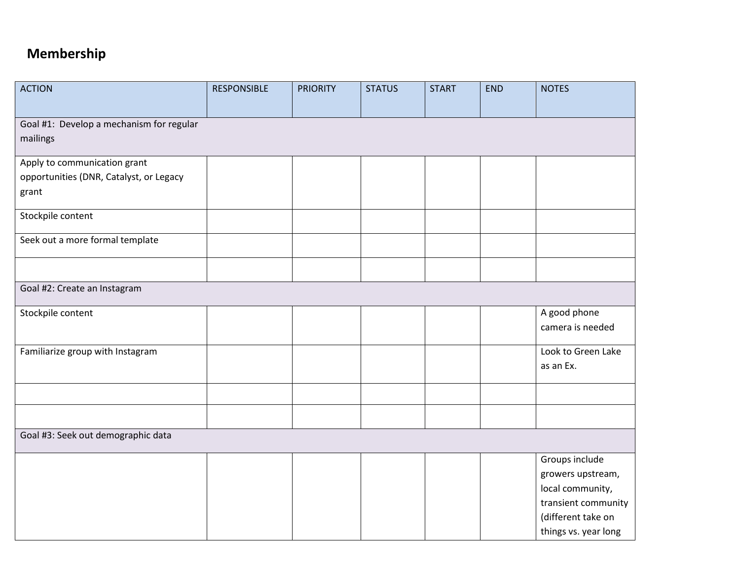# **Membership**

| <b>ACTION</b>                            | <b>RESPONSIBLE</b> | <b>PRIORITY</b> | <b>STATUS</b> | <b>START</b> | <b>END</b> | <b>NOTES</b>         |
|------------------------------------------|--------------------|-----------------|---------------|--------------|------------|----------------------|
|                                          |                    |                 |               |              |            |                      |
| Goal #1: Develop a mechanism for regular |                    |                 |               |              |            |                      |
| mailings                                 |                    |                 |               |              |            |                      |
| Apply to communication grant             |                    |                 |               |              |            |                      |
| opportunities (DNR, Catalyst, or Legacy  |                    |                 |               |              |            |                      |
| grant                                    |                    |                 |               |              |            |                      |
| Stockpile content                        |                    |                 |               |              |            |                      |
| Seek out a more formal template          |                    |                 |               |              |            |                      |
|                                          |                    |                 |               |              |            |                      |
| Goal #2: Create an Instagram             |                    |                 |               |              |            |                      |
| Stockpile content                        |                    |                 |               |              |            | A good phone         |
|                                          |                    |                 |               |              |            | camera is needed     |
| Familiarize group with Instagram         |                    |                 |               |              |            | Look to Green Lake   |
|                                          |                    |                 |               |              |            | as an Ex.            |
|                                          |                    |                 |               |              |            |                      |
|                                          |                    |                 |               |              |            |                      |
| Goal #3: Seek out demographic data       |                    |                 |               |              |            |                      |
|                                          |                    |                 |               |              |            | Groups include       |
|                                          |                    |                 |               |              |            | growers upstream,    |
|                                          |                    |                 |               |              |            | local community,     |
|                                          |                    |                 |               |              |            | transient community  |
|                                          |                    |                 |               |              |            | (different take on   |
|                                          |                    |                 |               |              |            | things vs. year long |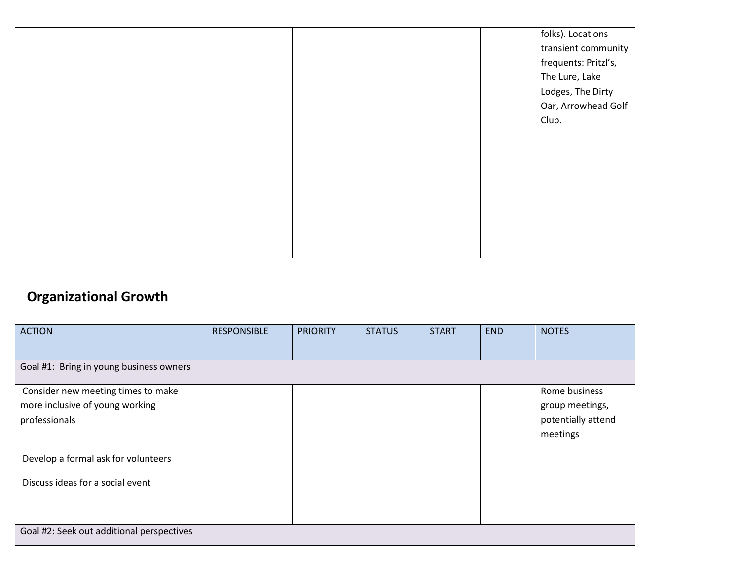|  |  |  | folks). Locations    |
|--|--|--|----------------------|
|  |  |  | transient community  |
|  |  |  | frequents: Pritzl's, |
|  |  |  | The Lure, Lake       |
|  |  |  | Lodges, The Dirty    |
|  |  |  | Oar, Arrowhead Golf  |
|  |  |  | Club.                |
|  |  |  |                      |
|  |  |  |                      |
|  |  |  |                      |
|  |  |  |                      |
|  |  |  |                      |
|  |  |  |                      |
|  |  |  |                      |
|  |  |  |                      |
|  |  |  |                      |

# **Organizational Growth**

| <b>ACTION</b>                                                                          | <b>RESPONSIBLE</b> | <b>PRIORITY</b> | <b>STATUS</b> | <b>START</b> | <b>END</b> | <b>NOTES</b>                                                       |
|----------------------------------------------------------------------------------------|--------------------|-----------------|---------------|--------------|------------|--------------------------------------------------------------------|
| Goal #1: Bring in young business owners                                                |                    |                 |               |              |            |                                                                    |
| Consider new meeting times to make<br>more inclusive of young working<br>professionals |                    |                 |               |              |            | Rome business<br>group meetings,<br>potentially attend<br>meetings |
| Develop a formal ask for volunteers                                                    |                    |                 |               |              |            |                                                                    |
| Discuss ideas for a social event                                                       |                    |                 |               |              |            |                                                                    |
|                                                                                        |                    |                 |               |              |            |                                                                    |
| Goal #2: Seek out additional perspectives                                              |                    |                 |               |              |            |                                                                    |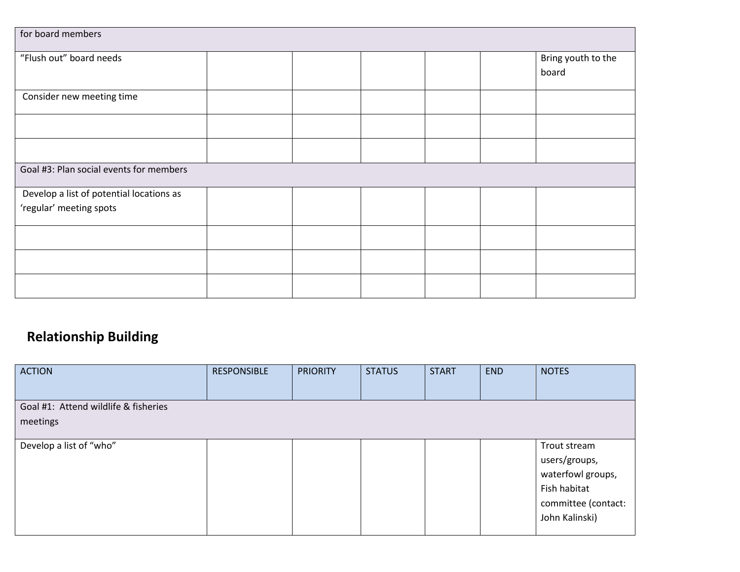| for board members                        |  |  |                    |
|------------------------------------------|--|--|--------------------|
| "Flush out" board needs                  |  |  | Bring youth to the |
|                                          |  |  | board              |
|                                          |  |  |                    |
| Consider new meeting time                |  |  |                    |
|                                          |  |  |                    |
|                                          |  |  |                    |
| Goal #3: Plan social events for members  |  |  |                    |
| Develop a list of potential locations as |  |  |                    |
| 'regular' meeting spots                  |  |  |                    |
|                                          |  |  |                    |
|                                          |  |  |                    |
|                                          |  |  |                    |

# **Relationship Building**

| <b>ACTION</b>                                    | <b>RESPONSIBLE</b> | <b>PRIORITY</b> | <b>STATUS</b> | <b>START</b> | <b>END</b> | <b>NOTES</b>                                                                                                |
|--------------------------------------------------|--------------------|-----------------|---------------|--------------|------------|-------------------------------------------------------------------------------------------------------------|
| Goal #1: Attend wildlife & fisheries<br>meetings |                    |                 |               |              |            |                                                                                                             |
| Develop a list of "who"                          |                    |                 |               |              |            | Trout stream<br>users/groups,<br>waterfowl groups,<br>Fish habitat<br>committee (contact:<br>John Kalinski) |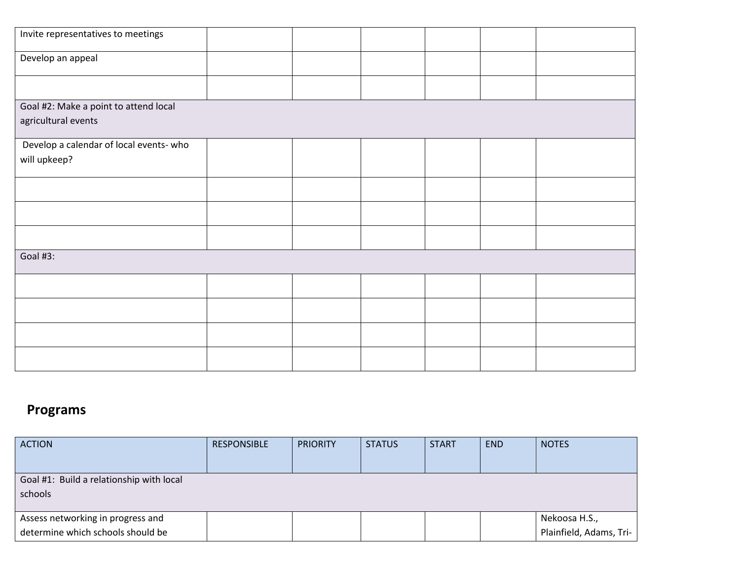| Invite representatives to meetings      |  |  |  |  |  |  |  |
|-----------------------------------------|--|--|--|--|--|--|--|
| Develop an appeal                       |  |  |  |  |  |  |  |
|                                         |  |  |  |  |  |  |  |
| Goal #2: Make a point to attend local   |  |  |  |  |  |  |  |
| agricultural events                     |  |  |  |  |  |  |  |
| Develop a calendar of local events- who |  |  |  |  |  |  |  |
| will upkeep?                            |  |  |  |  |  |  |  |
|                                         |  |  |  |  |  |  |  |
|                                         |  |  |  |  |  |  |  |
|                                         |  |  |  |  |  |  |  |
| Goal #3:                                |  |  |  |  |  |  |  |
|                                         |  |  |  |  |  |  |  |
|                                         |  |  |  |  |  |  |  |
|                                         |  |  |  |  |  |  |  |
|                                         |  |  |  |  |  |  |  |

# **Programs**

| <b>ACTION</b>                            | <b>RESPONSIBLE</b> | <b>PRIORITY</b> | <b>STATUS</b> | <b>START</b> | <b>END</b> | <b>NOTES</b>            |
|------------------------------------------|--------------------|-----------------|---------------|--------------|------------|-------------------------|
|                                          |                    |                 |               |              |            |                         |
| Goal #1: Build a relationship with local |                    |                 |               |              |            |                         |
| schools                                  |                    |                 |               |              |            |                         |
|                                          |                    |                 |               |              |            |                         |
| Assess networking in progress and        |                    |                 |               |              |            | Nekoosa H.S.,           |
| determine which schools should be        |                    |                 |               |              |            | Plainfield, Adams, Tri- |